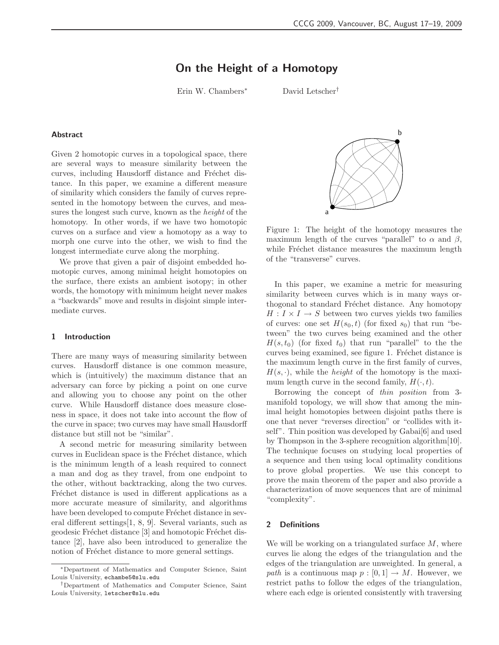# On the Height of a Homotopy

Erin W. Chambers<sup>∗</sup> David Letscher†

#### Abstract

Given 2 homotopic curves in a topological space, there are several ways to measure similarity between the curves, including Hausdorff distance and Fréchet distance. In this paper, we examine a different measure of similarity which considers the family of curves represented in the homotopy between the curves, and measures the longest such curve, known as the *height* of the homotopy. In other words, if we have two homotopic curves on a surface and view a homotopy as a way to morph one curve into the other, we wish to find the longest intermediate curve along the morphing.

We prove that given a pair of disjoint embedded homotopic curves, among minimal height homotopies on the surface, there exists an ambient isotopy; in other words, the homotopy with minimum height never makes a "backwards" move and results in disjoint simple intermediate curves.

#### 1 Introduction

There are many ways of measuring similarity between curves. Hausdorff distance is one common measure, which is (intuitively) the maximum distance that an adversary can force by picking a point on one curve and allowing you to choose any point on the other curve. While Hausdorff distance does measure closeness in space, it does not take into account the flow of the curve in space; two curves may have small Hausdorff distance but still not be "similar".

A second metric for measuring similarity between curves in Euclidean space is the Fréchet distance, which is the minimum length of a leash required to connect a man and dog as they travel, from one endpoint to the other, without backtracking, along the two curves. Fréchet distance is used in different applications as a more accurate measure of similarity, and algorithms have been developed to compute Fréchet distance in several different settings[1, 8, 9]. Several variants, such as geodesic Fréchet distance [3] and homotopic Fréchet distance [2], have also been introduced to generalize the notion of Fréchet distance to more general settings.



Figure 1: The height of the homotopy measures the maximum length of the curves "parallel" to  $\alpha$  and  $\beta$ , while Fréchet distance measures the maximum length of the "transverse" curves.

In this paper, we examine a metric for measuring similarity between curves which is in many ways orthogonal to standard Fréchet distance. Any homotopy  $H: I \times I \rightarrow S$  between two curves yields two families of curves: one set  $H(s_0, t)$  (for fixed  $s_0$ ) that run "between" the two curves being examined and the other  $H(s, t_0)$  (for fixed  $t_0$ ) that run "parallel" to the the curves being examined, see figure 1. Fréchet distance is the maximum length curve in the first family of curves,  $H(s, \cdot)$ , while the *height* of the homotopy is the maximum length curve in the second family,  $H(\cdot, t)$ .

Borrowing the concept of *thin position* from 3 manifold topology, we will show that among the minimal height homotopies between disjoint paths there is one that never "reverses direction" or "collides with itself". Thin position was developed by Gabai<sup>[6]</sup> and used by Thompson in the 3-sphere recognition algorithm[10]. The technique focuses on studying local properties of a sequence and then using local optimality conditions to prove global properties. We use this concept to prove the main theorem of the paper and also provide a characterization of move sequences that are of minimal "complexity".

# 2 Definitions

We will be working on a triangulated surface  $M$ , where curves lie along the edges of the triangulation and the edges of the triangulation are unweighted. In general, a *path* is a continuous map  $p : [0, 1] \rightarrow M$ . However, we restrict paths to follow the edges of the triangulation, where each edge is oriented consistently with traversing

<sup>∗</sup>Department of Mathematics and Computer Science, Saint Louis University, echambe5@slu.edu

<sup>†</sup>Department of Mathematics and Computer Science, Saint Louis University, letscher@slu.edu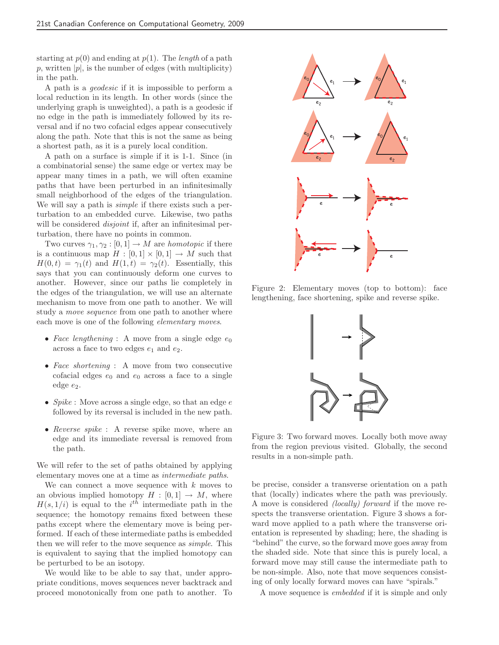starting at  $p(0)$  and ending at  $p(1)$ . The *length* of a path p, written  $|p|$ , is the number of edges (with multiplicity) in the path.

A path is a *geodesic* if it is impossible to perform a local reduction in its length. In other words (since the underlying graph is unweighted), a path is a geodesic if no edge in the path is immediately followed by its reversal and if no two cofacial edges appear consecutively along the path. Note that this is not the same as being a shortest path, as it is a purely local condition.

A path on a surface is *s*imple if it is 1-1. Since (in a combinatorial sense) the same edge or vertex may be appear many times in a path, we will often examine paths that have been perturbed in an infinitesimally small neighborhood of the edges of the triangulation. We will say a path is *simple* if there exists such a perturbation to an embedded curve. Likewise, two paths will be considered *disjoint* if, after an infinitesimal perturbation, there have no points in common.

Two curves  $\gamma_1, \gamma_2 : [0, 1] \to M$  are *homotopic* if there is a continuous map  $H : [0,1] \times [0,1] \rightarrow M$  such that  $H(0, t) = \gamma_1(t)$  and  $H(1, t) = \gamma_2(t)$ . Essentially, this says that you can continuously deform one curves to another. However, since our paths lie completely in the edges of the triangulation, we will use an alternate mechanism to move from one path to another. We will study a *move sequence* from one path to another where each move is one of the following *elementary moves*.

- *Face lengthening* : A move from a single edge  $e_0$ across a face to two edges  $e_1$  and  $e_2$ .
- *Face shortening* : A move from two consecutive cofacial edges  $e_0$  and  $e_0$  across a face to a single edge  $e_2$ .
- *Spike* : Move across a single edge, so that an edge e followed by its reversal is included in the new path.
- *Reverse spike* : A reverse spike move, where an edge and its immediate reversal is removed from the path.

We will refer to the set of paths obtained by applying elementary moves one at a time as *intermediate paths*.

We can connect a move sequence with  $k$  moves to an obvious implied homotopy  $H : [0,1] \rightarrow M$ , where  $H(s, 1/i)$  is equal to the i<sup>th</sup> intermediate path in the sequence; the homotopy remains fixed between these paths except where the elementary move is being performed. If each of these intermediate paths is embedded then we will refer to the move sequence as *simple*. This is equivalent to saying that the implied homotopy can be perturbed to be an isotopy.

We would like to be able to say that, under appropriate conditions, moves sequences never backtrack and proceed monotonically from one path to another. To



Figure 2: Elementary moves (top to bottom): face lengthening, face shortening, spike and reverse spike.



Figure 3: Two forward moves. Locally both move away from the region previous visited. Globally, the second results in a non-simple path.

be precise, consider a transverse orientation on a path that (locally) indicates where the path was previously. A move is considered *(locally) forward* if the move respects the transverse orientation. Figure 3 shows a forward move applied to a path where the transverse orientation is represented by shading; here, the shading is "behind" the curve, so the forward move goes away from the shaded side. Note that since this is purely local, a forward move may still cause the intermediate path to be non-simple. Also, note that move sequences consisting of only locally forward moves can have "spirals."

A move sequence is *embedded* if it is simple and only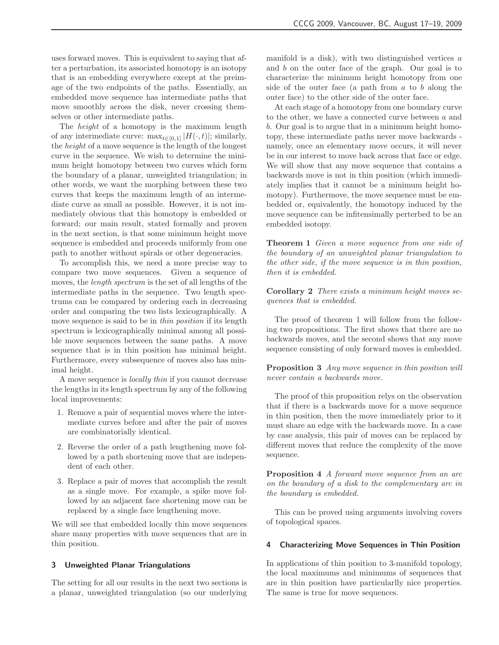uses forward moves. This is equivalent to saying that after a perturbation, its associated homotopy is an isotopy that is an embedding everywhere except at the preimage of the two endpoints of the paths. Essentially, an embedded move sequence has intermediate paths that move smoothly across the disk, never crossing themselves or other intermediate paths.

The *height* of a homotopy is the maximum length of any intermediate curve:  $\max_{t\in[0,1]}|H(\cdot,t)|$ ; similarly, the *height* of a move sequence is the length of the longest curve in the sequence. We wish to determine the minimum height homotopy between two curves which form the boundary of a planar, unweighted triangulation; in other words, we want the morphing between these two curves that keeps the maximum length of an intermediate curve as small as possible. However, it is not immediately obvious that this homotopy is embedded or forward; our main result, stated formally and proven in the next section, is that some minimum height move sequence is embedded and proceeds uniformly from one path to another without spirals or other degeneracies.

To accomplish this, we need a more precise way to compare two move sequences. Given a sequence of moves, the *length spectrum* is the set of all lengths of the intermediate paths in the sequence. Two length spectrums can be compared by ordering each in decreasing order and comparing the two lists lexicographically. A move sequence is said to be in *thin position* if its length spectrum is lexicographically minimal among all possible move sequences between the same paths. A move sequence that is in thin position has minimal height. Furthermore, every subsequence of moves also has minimal height.

A move sequence is *locally thin* if you cannot decrease the lengths in its length spectrum by any of the following local improvements:

- 1. Remove a pair of sequential moves where the intermediate curves before and after the pair of moves are combinatorially identical.
- 2. Reverse the order of a path lengthening move followed by a path shortening move that are independent of each other.
- 3. Replace a pair of moves that accomplish the result as a single move. For example, a spike move followed by an adjacent face shortening move can be replaced by a single face lengthening move.

We will see that embedded locally thin move sequences share many properties with move sequences that are in thin position.

## 3 Unweighted Planar Triangulations

The setting for all our results in the next two sections is a planar, unweighted triangulation (so our underlying manifold is a disk), with two distinguished vertices  $a$ and b on the outer face of the graph. Our goal is to characterize the minimum height homotopy from one side of the outer face (a path from  $a$  to  $b$  along the outer face) to the other side of the outer face.

At each stage of a homotopy from one boundary curve to the other, we have a connected curve between  $a$  and b. Our goal is to argue that in a minimum height homotopy, these intermediate paths never move backwards namely, once an elementary move occurs, it will never be in our interest to move back across that face or edge. We will show that any move sequence that contains a backwards move is not in thin position (which immediately implies that it cannot be a minimum height homotopy). Furthermove, the move sequence must be embedded or, equivalently, the homotopy induced by the move sequence can be infitensimally perterbed to be an embedded isotopy.

Theorem 1 *Given a move sequence from one side of the boundary of an unweighted planar triangulation to the other side, if the move sequence is in thin position, then it is embedded.*

Corollary 2 *There exists a minimum height moves sequences that is embedded.*

The proof of theorem 1 will follow from the following two propositions. The first shows that there are no backwards moves, and the second shows that any move sequence consisting of only forward moves is embedded.

Proposition 3 *Any move sequence in thin position will never contain a backwards move.*

The proof of this proposition relys on the observation that if there is a backwards move for a move sequence in thin position, then the move immediately prior to it must share an edge with the backwards move. In a case by case analysis, this pair of moves can be replaced by different moves that reduce the complexity of the move sequence.

Proposition 4 *A forward move sequence from an arc on the boundary of a disk to the complementary arc in the boundary is embedded.*

This can be proved using arguments involving covers of topological spaces.

## 4 Characterizing Move Sequences in Thin Position

In applications of thin position to 3-manifold topology, the local maximums and minimums of sequences that are in thin position have particularlly nice properties. The same is true for move sequences.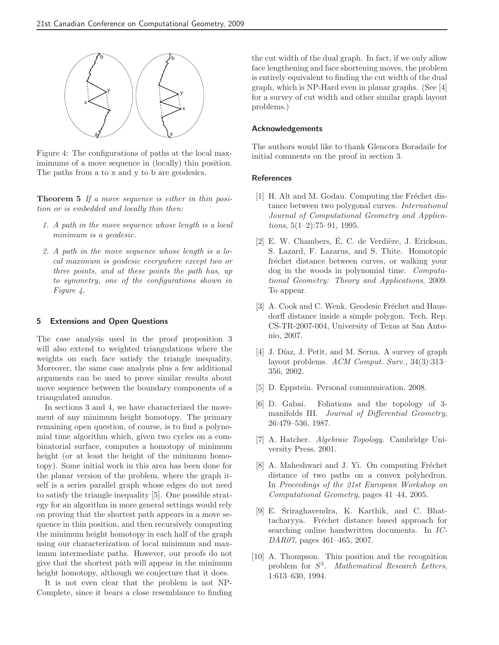

Figure 4: The configurations of paths at the local maximimums of a move sequence in (locally) thin position. The paths from a to x and y to b are geodesics.

Theorem 5 *If a move sequence is either in thin position or is embedded and locally thin then:*

- *1. A path in the move sequence whose length is a local minimum is a geodesic.*
- *2. A path in the move sequence whose length is a local maximum is geodesic everywhere except two or three points, and at these points the path has, up to symmetry, one of the configurations shown in Figure 4.*

### 5 Extensions and Open Questions

The case analysis used in the proof proposition 3 will also extend to weighted triangulations where the weights on each face satisfy the triangle inequality. Moreover, the same case analysis plus a few additional arguments can be used to prove similar results about move sequence between the boundary components of a triangulated annulus.

In sections 3 and 4, we have characterized the movement of any minimum height homotopy. The primary remaining open question, of course, is to find a polynomial time algorithm which, given two cycles on a combinatorial surface, computes a homotopy of minimum height (or at least the height of the minimum homotopy). Some initial work in this area has been done for the planar version of the problem, where the graph itself is a series parallel graph whose edges do not need to satisfy the triangle inequality [5]. One possible strategy for an algorithm in more general settings would rely on proving that the shortest path appears in a move sequence in thin position, and then recursively computing the minimum height homotopy in each half of the graph using our characterization of local minimum and maximum intermediate paths. However, our proofs do not give that the shortest path will appear in the minimum height homotopy, although we conjecture that it does.

It is not even clear that the problem is not NP-Complete, since it bears a close resemblance to finding the cut width of the dual graph. In fact, if we only allow face lengthening and face shortening moves, the problem is entirely equivalent to finding the cut width of the dual graph, which is NP-Hard even in planar graphs. (See [4] for a survey of cut width and other similar graph layout problems.)

## Acknowledgements

The authors would like to thank Glencora Boradaile for initial comments on the proof in section 3.

## References

- [1] H. Alt and M. Godau. Computing the Fréchet distance between two polygonal curves. *International Journal of Computational Geometry and Applications*, 5(1–2):75–91, 1995.
- [2] E. W. Chambers, É. C. de Verdière, J. Erickson, S. Lazard, F. Lazarus, and S. Thite. Homotopic fréchet distance between curves, or walking your dog in the woods in polynomial time. *Computational Geometry: Theory and Applications*, 2009. To appear.
- [3] A. Cook and C. Wenk. Geodesic Fréchet and Hausdorff distance inside a simple polygon. Tech. Rep. CS-TR-2007-004, University of Texas at San Antonio, 2007.
- [4] J. Díaz, J. Petit, and M. Serna. A survey of graph layout problems. *ACM Comput. Surv.*, 34(3):313– 356, 2002.
- [5] D. Eppstein. Personal communication, 2008.
- [6] D. Gabai. Foliations and the topology of 3 manifolds III. *Journal of Differential Geometry*, 26:479–536, 1987.
- [7] A. Hatcher. *Algebraic Topology*. Cambridge University Press, 2001.
- [8] A. Maheshwari and J. Yi. On computing Fréchet distance of two paths on a convex polyhedron. In *Proceedings of the 21st European Workshop on Computational Geometry*, pages 41–44, 2005.
- [9] E. Sriraghavendra, K. Karthik, and C. Bhattacharyya. Fréchet distance based approach for searching online handwritten documents. In *IC-DAR07*, pages 461–465, 2007.
- [10] A. Thompson. Thin position and the recognition problem for S 3 . *Mathematical Research Letters*, 1:613–630, 1994.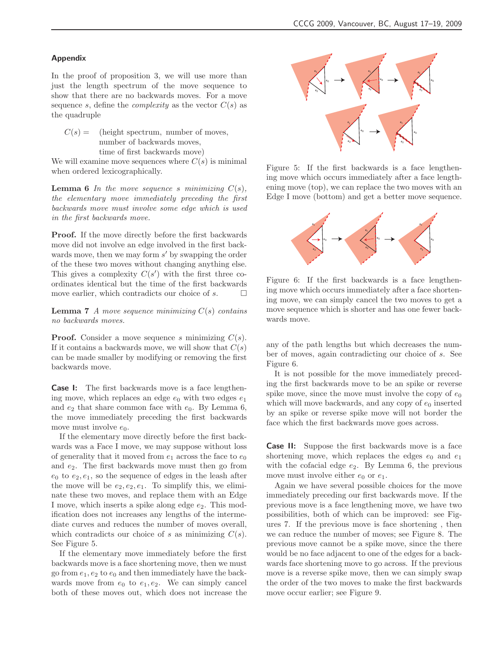## Appendix

In the proof of proposition 3, we will use more than just the length spectrum of the move sequence to show that there are no backwards moves. For a move sequence s, define the *complexity* as the vector  $C(s)$  as the quadruple

 $C(s) =$  (height spectrum, number of moves, number of backwards moves, time of first backwards move)

We will examine move sequences where  $C(s)$  is minimal when ordered lexicographically.

**Lemma 6** In the move sequence s minimizing  $C(s)$ , *the elementary move immediately preceding the first backwards move must involve some edge which is used in the first backwards move.*

Proof. If the move directly before the first backwards move did not involve an edge involved in the first backwards move, then we may form  $s'$  by swapping the order of the these two moves without changing anything else. This gives a complexity  $C(s')$  with the first three coordinates identical but the time of the first backwards move earlier, which contradicts our choice of  $s$ .  $\Box$ 

Lemma 7 *A move sequence minimizing* C(s) *contains no backwards moves.*

**Proof.** Consider a move sequence s minimizing  $C(s)$ . If it contains a backwards move, we will show that  $C(s)$ can be made smaller by modifying or removing the first backwards move.

**Case I:** The first backwards move is a face lengthening move, which replaces an edge  $e_0$  with two edges  $e_1$ and  $e_2$  that share common face with  $e_0$ . By Lemma 6, the move immediately preceding the first backwards move must involve  $e_0$ .

If the elementary move directly before the first backwards was a Face I move, we may suppose without loss of generality that it moved from  $e_1$  across the face to  $e_0$ and  $e_2$ . The first backwards move must then go from  $e_0$  to  $e_2, e_1$ , so the sequence of edges in the leash after the move will be  $e_2, e_2, e_1$ . To simplify this, we eliminate these two moves, and replace them with an Edge I move, which inserts a spike along edge  $e_2$ . This modification does not increases any lengths of the intermediate curves and reduces the number of moves overall, which contradicts our choice of s as minimizing  $C(s)$ . See Figure 5.

If the elementary move immediately before the first backwards move is a face shortening move, then we must go from  $e_1, e_2$  to  $e_0$  and then immediately have the backwards move from  $e_0$  to  $e_1, e_2$ . We can simply cancel both of these moves out, which does not increase the



Figure 5: If the first backwards is a face lengthening move which occurs immediately after a face lengthening move (top), we can replace the two moves with an Edge I move (bottom) and get a better move sequence.



Figure 6: If the first backwards is a face lengthening move which occurs immediately after a face shortening move, we can simply cancel the two moves to get a move sequence which is shorter and has one fewer backwards move.

any of the path lengths but which decreases the number of moves, again contradicting our choice of s. See Figure 6.

It is not possible for the move immediately preceding the first backwards move to be an spike or reverse spike move, since the move must involve the copy of  $e_0$ which will move backwards, and any copy of  $e_0$  inserted by an spike or reverse spike move will not border the face which the first backwards move goes across.

**Case II:** Suppose the first backwards move is a face shortening move, which replaces the edges  $e_0$  and  $e_1$ with the cofacial edge  $e_2$ . By Lemma 6, the previous move must involve either  $e_0$  or  $e_1$ .

Again we have several possible choices for the move immediately preceding our first backwards move. If the previous move is a face lengthening move, we have two possibilities, both of which can be improved: see Figures 7. If the previous move is face shortening , then we can reduce the number of moves; see Figure 8. The previous move cannot be a spike move, since the there would be no face adjacent to one of the edges for a backwards face shortening move to go across. If the previous move is a reverse spike move, then we can simply swap the order of the two moves to make the first backwards move occur earlier; see Figure 9.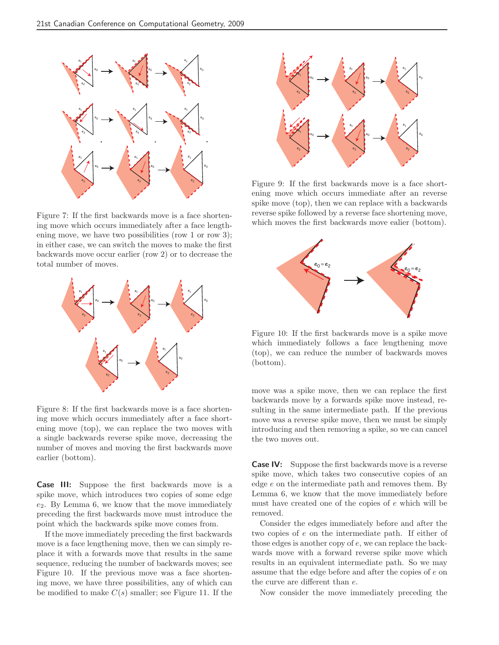

Figure 7: If the first backwards move is a face shortening move which occurs immediately after a face lengthening move, we have two possibilities (row 1 or row 3); in either case, we can switch the moves to make the first backwards move occur earlier (row 2) or to decrease the total number of moves.



Figure 8: If the first backwards move is a face shortening move which occurs immediately after a face shortening move (top), we can replace the two moves with a single backwards reverse spike move, decreasing the number of moves and moving the first backwards move earlier (bottom).

Case III: Suppose the first backwards move is a spike move, which introduces two copies of some edge  $e_2$ . By Lemma 6, we know that the move immediately preceding the first backwards move must introduce the point which the backwards spike move comes from.

If the move immediately preceding the first backwards move is a face lengthening move, then we can simply replace it with a forwards move that results in the same sequence, reducing the number of backwards moves; see Figure 10. If the previous move was a face shortening move, we have three possibilities, any of which can be modified to make  $C(s)$  smaller; see Figure 11. If the



Figure 9: If the first backwards move is a face shortening move which occurs immediate after an reverse spike move (top), then we can replace with a backwards reverse spike followed by a reverse face shortening move, which moves the first backwards move ealier (bottom).



Figure 10: If the first backwards move is a spike move which immediately follows a face lengthening move (top), we can reduce the number of backwards moves (bottom).

move was a spike move, then we can replace the first backwards move by a forwards spike move instead, resulting in the same intermediate path. If the previous move was a reverse spike move, then we must be simply introducing and then removing a spike, so we can cancel the two moves out.

Case IV: Suppose the first backwards move is a reverse spike move, which takes two consecutive copies of an edge e on the intermediate path and removes them. By Lemma 6, we know that the move immediately before must have created one of the copies of e which will be removed.

Consider the edges immediately before and after the two copies of e on the intermediate path. If either of those edges is another copy of e, we can replace the backwards move with a forward reverse spike move which results in an equivalent intermediate path. So we may assume that the edge before and after the copies of e on the curve are different than e.

Now consider the move immediately preceding the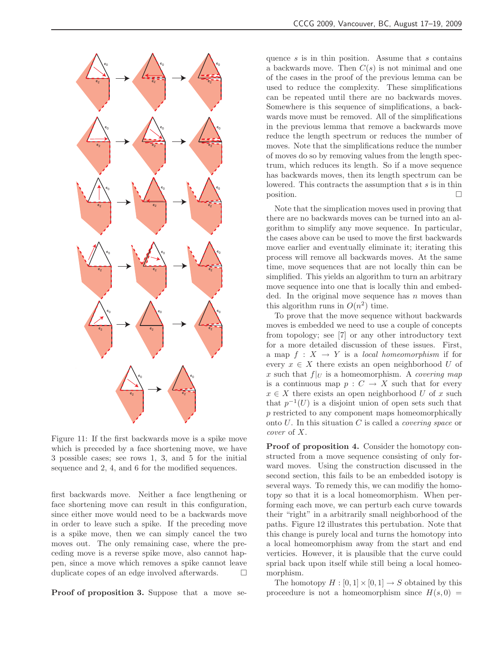

Figure 11: If the first backwards move is a spike move which is preceded by a face shortening move, we have 3 possible cases; see rows 1, 3, and 5 for the initial sequence and 2, 4, and 6 for the modified sequences.

first backwards move. Neither a face lengthening or face shortening move can result in this configuration, since either move would need to be a backwards move in order to leave such a spike. If the preceding move is a spike move, then we can simply cancel the two moves out. The only remaining case, where the preceding move is a reverse spike move, also cannot happen, since a move which removes a spike cannot leave duplicate copes of an edge involved afterwards.  $\Box$ 

Proof of proposition 3. Suppose that a move se-

quence  $s$  is in thin position. Assume that  $s$  contains a backwards move. Then  $C(s)$  is not minimal and one of the cases in the proof of the previous lemma can be used to reduce the complexity. These simplifications can be repeated until there are no backwards moves. Somewhere is this sequence of simplifications, a backwards move must be removed. All of the simplifications in the previous lemma that remove a backwards move reduce the length spectrum or reduces the number of moves. Note that the simplifications reduce the number of moves do so by removing values from the length spectrum, which reduces its length. So if a move sequence has backwards moves, then its length spectrum can be lowered. This contracts the assumption that s is in thin position.

Note that the simplication moves used in proving that there are no backwards moves can be turned into an algorithm to simplify any move sequence. In particular, the cases above can be used to move the first backwards move earlier and eventually eliminate it; iterating this process will remove all backwards moves. At the same time, move sequences that are not locally thin can be simplified. This yields an algorithm to turn an arbitrary move sequence into one that is locally thin and embedded. In the original move sequence has  $n$  moves than this algorithm runs in  $O(n^2)$  time.

To prove that the move sequence without backwards moves is embedded we need to use a couple of concepts from topology; see [7] or any other introductory text for a more detailed discussion of these issues. First, a map  $f: X \to Y$  is a *local homeomorphism* if for every  $x \in X$  there exists an open neighborhood U of x such that  $f|_U$  is a homeomorphism. A *covering map* is a continuous map  $p : C \to X$  such that for every  $x \in X$  there exists an open neighborhood U of x such that  $p^{-1}(U)$  is a disjoint union of open sets such that p restricted to any component maps homeomorphically onto U. In this situation C is called a *covering space* or *cover* of X.

Proof of proposition 4. Consider the homotopy constructed from a move sequence consisting of only forward moves. Using the construction discussed in the second section, this fails to be an embedded isotopy is several ways. To remedy this, we can modifiy the homotopy so that it is a local homeomorphism. When performing each move, we can perturb each curve towards their "right" in a arbitrarily small neighborhood of the paths. Figure 12 illustrates this pertubation. Note that this change is purely local and turns the homotopy into a local homeomorphism away from the start and end verticies. However, it is plausible that the curve could sprial back upon itself while still being a local homeomorphism.

The homotopy  $H : [0, 1] \times [0, 1] \rightarrow S$  obtained by this proceedure is not a homeomorphism since  $H(s, 0)$  =